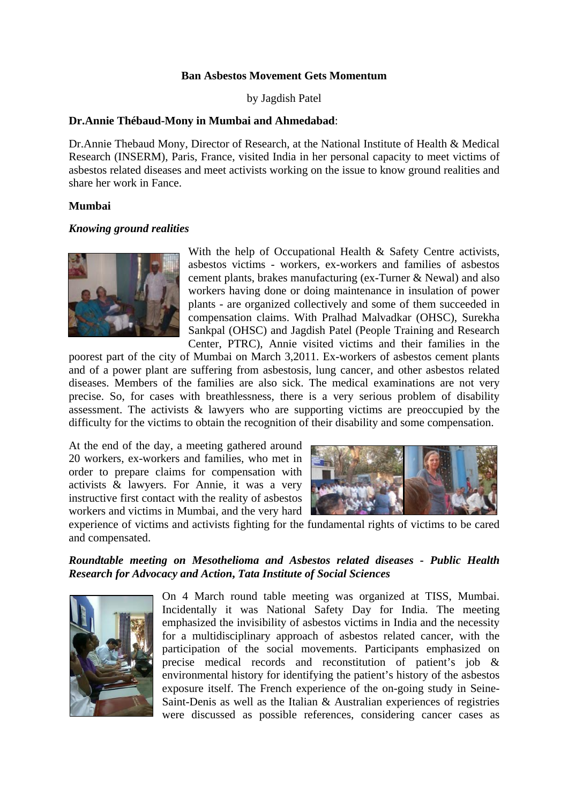### **Ban Asbestos Movement Gets Momentum**

by Jagdish Patel

### **Dr.Annie Thébaud-Mony in Mumbai and Ahmedabad**:

Dr.Annie Thebaud Mony, Director of Research, at the National Institute of Health & Medical Research (INSERM), Paris, France, visited India in her personal capacity to meet victims of asbestos related diseases and meet activists working on the issue to know ground realities and share her work in Fance.

### **Mumbai**

#### *Knowing ground realities*



With the help of Occupational Health & Safety Centre activists, asbestos victims - workers, ex-workers and families of asbestos cement plants, brakes manufacturing (ex-Turner & Newal) and also workers having done or doing maintenance in insulation of power plants - are organized collectively and some of them succeeded in compensation claims. With Pralhad Malvadkar (OHSC), Surekha Sankpal (OHSC) and Jagdish Patel (People Training and Research Center, PTRC), Annie visited victims and their families in the

poorest part of the city of Mumbai on March 3,2011. Ex-workers of asbestos cement plants and of a power plant are suffering from asbestosis, lung cancer, and other asbestos related diseases. Members of the families are also sick. The medical examinations are not very precise. So, for cases with breathlessness, there is a very serious problem of disability assessment. The activists & lawyers who are supporting victims are preoccupied by the difficulty for the victims to obtain the recognition of their disability and some compensation.

At the end of the day, a meeting gathered around 20 workers, ex-workers and families, who met in order to prepare claims for compensation with activists & lawyers. For Annie, it was a very instructive first contact with the reality of asbestos workers and victims in Mumbai, and the very hard



experience of victims and activists fighting for the fundamental rights of victims to be cared and compensated.

## *Roundtable meeting on Mesothelioma and Asbestos related diseases - Public Health Research for Advocacy and Action***,** *Tata Institute of Social Sciences*



On 4 March round table meeting was organized at TISS, Mumbai. Incidentally it was National Safety Day for India. The meeting emphasized the invisibility of asbestos victims in India and the necessity for a multidisciplinary approach of asbestos related cancer, with the participation of the social movements. Participants emphasized on precise medical records and reconstitution of patient's job & environmental history for identifying the patient's history of the asbestos exposure itself. The French experience of the on-going study in Seine-Saint-Denis as well as the Italian & Australian experiences of registries were discussed as possible references, considering cancer cases as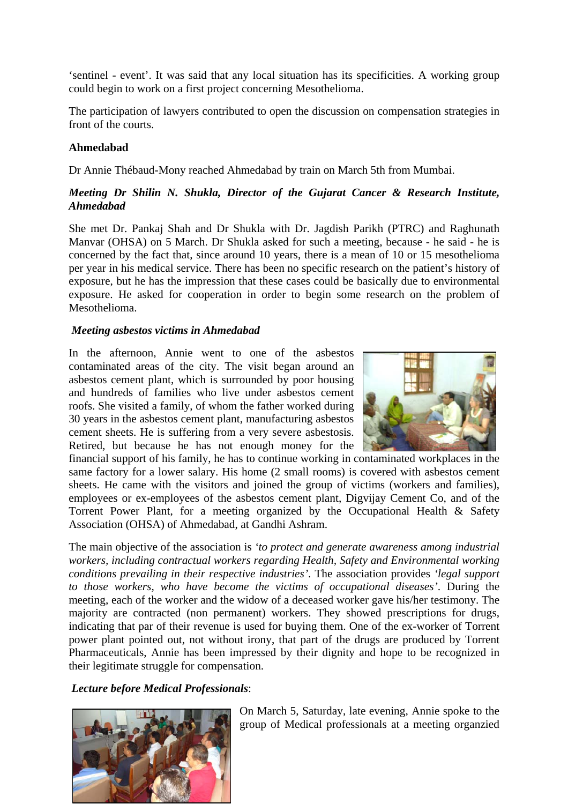'sentinel - event'. It was said that any local situation has its specificities. A working group could begin to work on a first project concerning Mesothelioma.

The participation of lawyers contributed to open the discussion on compensation strategies in front of the courts.

## **Ahmedabad**

Dr Annie Thébaud-Mony reached Ahmedabad by train on March 5th from Mumbai.

# *Meeting Dr Shilin N. Shukla, Director of the Gujarat Cancer & Research Institute, Ahmedabad*

She met Dr. Pankaj Shah and Dr Shukla with Dr. Jagdish Parikh (PTRC) and Raghunath Manvar (OHSA) on 5 March. Dr Shukla asked for such a meeting, because - he said - he is concerned by the fact that, since around 10 years, there is a mean of 10 or 15 mesothelioma per year in his medical service. There has been no specific research on the patient's history of exposure, but he has the impression that these cases could be basically due to environmental exposure. He asked for cooperation in order to begin some research on the problem of Mesothelioma.

## *Meeting asbestos victims in Ahmedabad*

In the afternoon, Annie went to one of the asbestos contaminated areas of the city. The visit began around an asbestos cement plant, which is surrounded by poor housing and hundreds of families who live under asbestos cement roofs. She visited a family, of whom the father worked during 30 years in the asbestos cement plant, manufacturing asbestos cement sheets. He is suffering from a very severe asbestosis. Retired, but because he has not enough money for the



financial support of his family, he has to continue working in contaminated workplaces in the same factory for a lower salary. His home (2 small rooms) is covered with asbestos cement sheets. He came with the visitors and joined the group of victims (workers and families), employees or ex-employees of the asbestos cement plant, Digvijay Cement Co, and of the Torrent Power Plant, for a meeting organized by the Occupational Health & Safety Association (OHSA) of Ahmedabad, at Gandhi Ashram.

The main objective of the association is *'to protect and generate awareness among industrial workers, including contractual workers regarding Health, Safety and Environmental working conditions prevailing in their respective industries'*. The association provides *'legal support to those workers, who have become the victims of occupational diseases'*. During the meeting, each of the worker and the widow of a deceased worker gave his/her testimony. The majority are contracted (non permanent) workers. They showed prescriptions for drugs, indicating that par of their revenue is used for buying them. One of the ex-worker of Torrent power plant pointed out, not without irony, that part of the drugs are produced by Torrent Pharmaceuticals, Annie has been impressed by their dignity and hope to be recognized in their legitimate struggle for compensation.

*Lecture before Medical Professionals*:



On March 5, Saturday, late evening, Annie spoke to the group of Medical professionals at a meeting organzied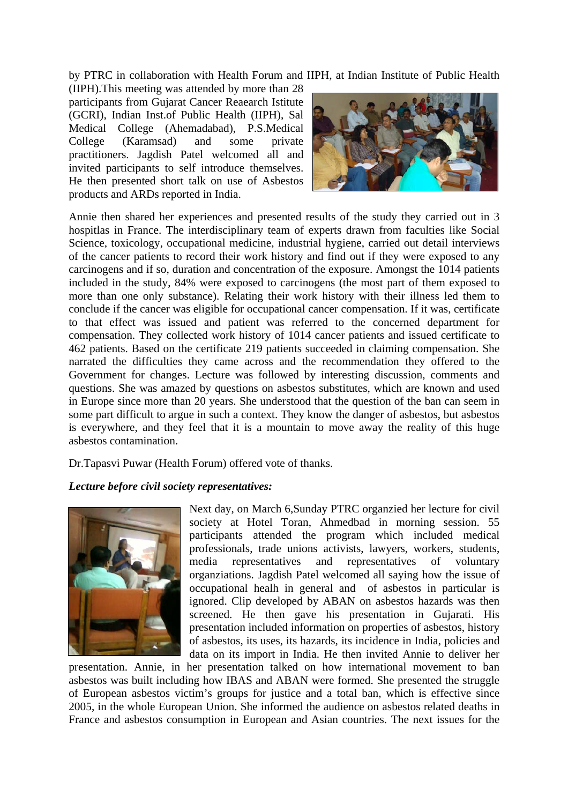by PTRC in collaboration with Health Forum and IIPH, at Indian Institute of Public Health

(IIPH).This meeting was attended by more than 28 participants from Gujarat Cancer Reaearch Istitute (GCRI), Indian Inst.of Public Health (IIPH), Sal Medical College (Ahemadabad), P.S.Medical College (Karamsad) and some private practitioners. Jagdish Patel welcomed all and invited participants to self introduce themselves. He then presented short talk on use of Asbestos products and ARDs reported in India.



Annie then shared her experiences and presented results of the study they carried out in 3 hospitlas in France. The interdisciplinary team of experts drawn from faculties like Social Science, toxicology, occupational medicine, industrial hygiene, carried out detail interviews of the cancer patients to record their work history and find out if they were exposed to any carcinogens and if so, duration and concentration of the exposure. Amongst the 1014 patients included in the study, 84% were exposed to carcinogens (the most part of them exposed to more than one only substance). Relating their work history with their illness led them to conclude if the cancer was eligible for occupational cancer compensation. If it was, certificate to that effect was issued and patient was referred to the concerned department for compensation. They collected work history of 1014 cancer patients and issued certificate to 462 patients. Based on the certificate 219 patients succeeded in claiming compensation. She narrated the difficulties they came across and the recommendation they offered to the Government for changes. Lecture was followed by interesting discussion, comments and questions. She was amazed by questions on asbestos substitutes, which are known and used in Europe since more than 20 years. She understood that the question of the ban can seem in some part difficult to argue in such a context. They know the danger of asbestos, but asbestos is everywhere, and they feel that it is a mountain to move away the reality of this huge asbestos contamination.

Dr.Tapasvi Puwar (Health Forum) offered vote of thanks.

# *Lecture before civil society representatives:*



Next day, on March 6,Sunday PTRC organzied her lecture for civil society at Hotel Toran, Ahmedbad in morning session. 55 participants attended the program which included medical professionals, trade unions activists, lawyers, workers, students, media representatives and representatives of voluntary organziations. Jagdish Patel welcomed all saying how the issue of occupational healh in general and of asbestos in particular is ignored. Clip developed by ABAN on asbestos hazards was then screened. He then gave his presentation in Gujarati. His presentation included information on properties of asbestos, history of asbestos, its uses, its hazards, its incidence in India, policies and data on its import in India. He then invited Annie to deliver her

presentation. Annie, in her presentation talked on how international movement to ban asbestos was built including how IBAS and ABAN were formed. She presented the struggle of European asbestos victim's groups for justice and a total ban, which is effective since 2005, in the whole European Union. She informed the audience on asbestos related deaths in France and asbestos consumption in European and Asian countries. The next issues for the